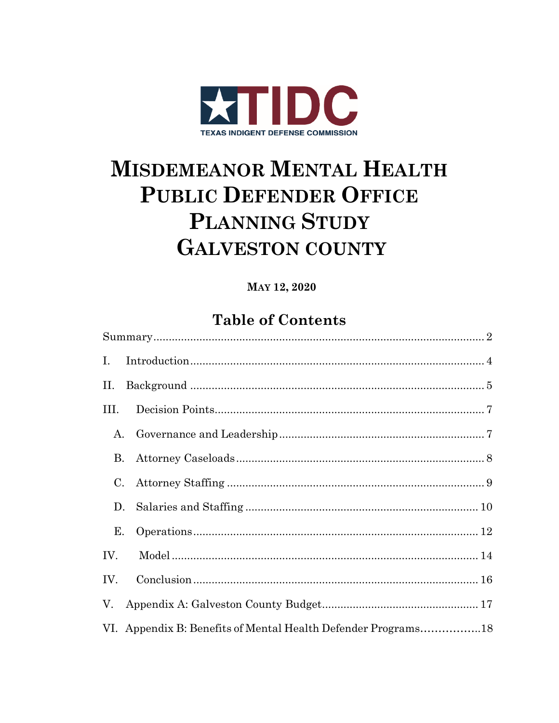

# **MISDEMEANOR MENTAL HEALTH PUBLIC DEFENDER OFFICE** PLANNING STUDY **GALVESTON COUNTY**

### MAY 12, 2020

# **Table of Contents**

| $\mathbf{I}$ . |                                                               |  |
|----------------|---------------------------------------------------------------|--|
| II.            |                                                               |  |
| III.           |                                                               |  |
| A.             |                                                               |  |
| <b>B.</b>      |                                                               |  |
| $\rm C$ .      |                                                               |  |
| D.             |                                                               |  |
| Е.             |                                                               |  |
| IV.            |                                                               |  |
| IV.            |                                                               |  |
|                |                                                               |  |
|                | VI. Appendix B: Benefits of Mental Health Defender Programs18 |  |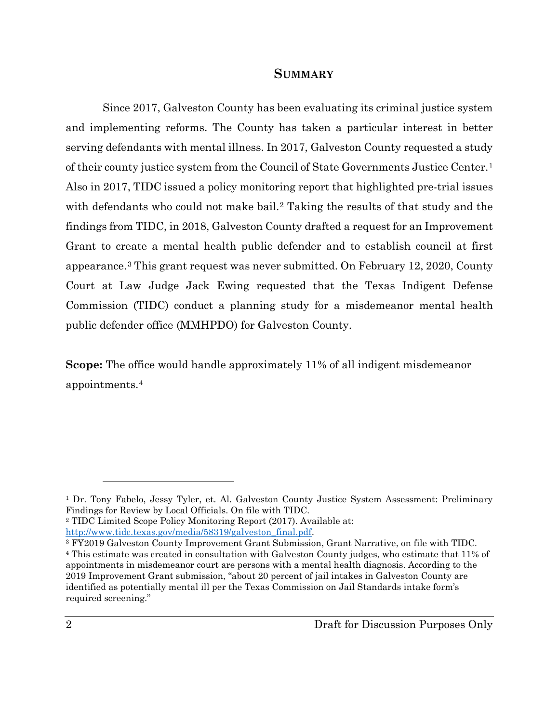#### **SUMMARY**

<span id="page-1-0"></span>Since 2017, Galveston County has been evaluating its criminal justice system and implementing reforms. The County has taken a particular interest in better serving defendants with mental illness. In 2017, Galveston County requested a study of their county justice system from the Council of State Governments Justice Center.[1](#page-1-1) Also in 2017, TIDC issued a policy monitoring report that highlighted pre-trial issues with defendants who could not make bail.<sup>[2](#page-1-2)</sup> Taking the results of that study and the findings from TIDC, in 2018, Galveston County drafted a request for an Improvement Grant to create a mental health public defender and to establish council at first appearance.[3](#page-1-3) This grant request was never submitted. On February 12, 2020, County Court at Law Judge Jack Ewing requested that the Texas Indigent Defense Commission (TIDC) conduct a planning study for a misdemeanor mental health public defender office (MMHPDO) for Galveston County.

**Scope:** The office would handle approximately 11% of all indigent misdemeanor appointments.[4](#page-1-4) 

<span id="page-1-2"></span><sup>2</sup> TIDC Limited Scope Policy Monitoring Report (2017). Available at:

<span id="page-1-1"></span><sup>&</sup>lt;sup>1</sup> Dr. Tony Fabelo, Jessy Tyler, et. Al. Galveston County Justice System Assessment: Preliminary Findings for Review by Local Officials. On file with TIDC.

<span id="page-1-4"></span><span id="page-1-3"></span>[http://www.tidc.texas.gov/media/58319/galveston\\_final.pdf.](http://www.tidc.texas.gov/media/58319/galveston_final.pdf) 3 FY2019 Galveston County Improvement Grant Submission, Grant Narrative, on file with TIDC. <sup>4</sup> This estimate was created in consultation with Galveston County judges, who estimate that 11% of appointments in misdemeanor court are persons with a mental health diagnosis. According to the 2019 Improvement Grant submission, "about 20 percent of jail intakes in Galveston County are identified as potentially mental ill per the Texas Commission on Jail Standards intake form's required screening."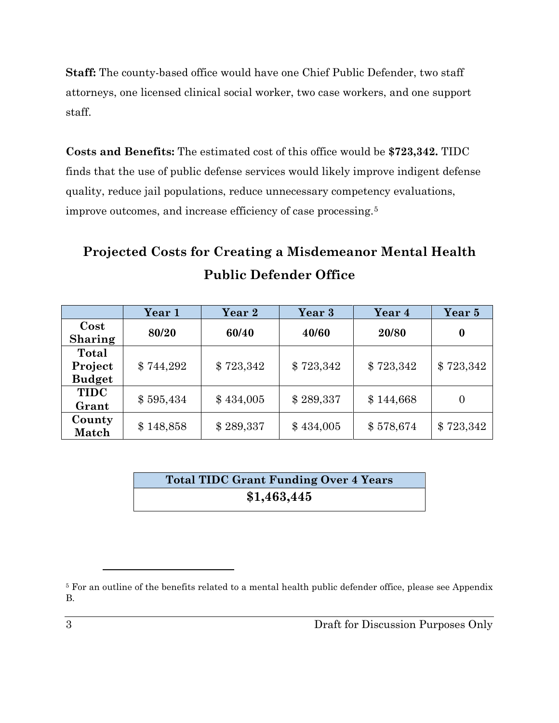**Staff:** The county-based office would have one Chief Public Defender, two staff attorneys, one licensed clinical social worker, two case workers, and one support staff.

**Costs and Benefits:** The estimated cost of this office would be **\$723,342.** TIDC finds that the use of public defense services would likely improve indigent defense quality, reduce jail populations, reduce unnecessary competency evaluations, improve outcomes, and increase efficiency of case processing.[5](#page-2-0)

# **Projected Costs for Creating a Misdemeanor Mental Health Public Defender Office**

|                                   | Year 1    | Year 2    | Year 3    | Year 4    | Year 5           |
|-----------------------------------|-----------|-----------|-----------|-----------|------------------|
| $\cos t$<br><b>Sharing</b>        | 80/20     | 60/40     | 40/60     | 20/80     | $\boldsymbol{0}$ |
| Total<br>Project<br><b>Budget</b> | \$744,292 | \$723,342 | \$723,342 | \$723,342 | \$723,342        |
| <b>TIDC</b><br>Grant              | \$595,434 | \$434,005 | \$289,337 | \$144,668 | $\overline{0}$   |
| County<br>Match                   | \$148,858 | \$289,337 | \$434,005 | \$578,674 | \$723,342        |

**Total TIDC Grant Funding Over 4 Years \$1,463,445**

<span id="page-2-0"></span><sup>5</sup> For an outline of the benefits related to a mental health public defender office, please see Appendix B.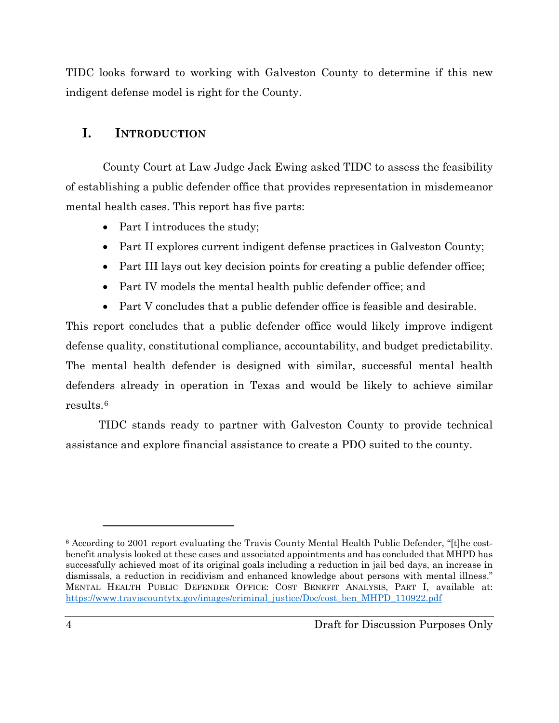TIDC looks forward to working with Galveston County to determine if this new indigent defense model is right for the County.

### <span id="page-3-0"></span>**I. INTRODUCTION**

County Court at Law Judge Jack Ewing asked TIDC to assess the feasibility of establishing a public defender office that provides representation in misdemeanor mental health cases. This report has five parts:

- Part I introduces the study;
- Part II explores current indigent defense practices in Galveston County;
- Part III lays out key decision points for creating a public defender office;
- Part IV models the mental health public defender office; and
- Part V concludes that a public defender office is feasible and desirable.

This report concludes that a public defender office would likely improve indigent defense quality, constitutional compliance, accountability, and budget predictability. The mental health defender is designed with similar, successful mental health defenders already in operation in Texas and would be likely to achieve similar results.[6](#page-3-1)

TIDC stands ready to partner with Galveston County to provide technical assistance and explore financial assistance to create a PDO suited to the county.

<span id="page-3-1"></span><sup>6</sup> According to 2001 report evaluating the Travis County Mental Health Public Defender, "[t]he costbenefit analysis looked at these cases and associated appointments and has concluded that MHPD has successfully achieved most of its original goals including a reduction in jail bed days, an increase in dismissals, a reduction in recidivism and enhanced knowledge about persons with mental illness." MENTAL HEALTH PUBLIC DEFENDER OFFICE: COST BENEFIT ANALYSIS, PART I, available at: [https://www.traviscountytx.gov/images/criminal\\_justice/Doc/cost\\_ben\\_MHPD\\_110922.pdf](https://www.traviscountytx.gov/images/criminal_justice/Doc/cost_ben_MHPD_110922.pdf)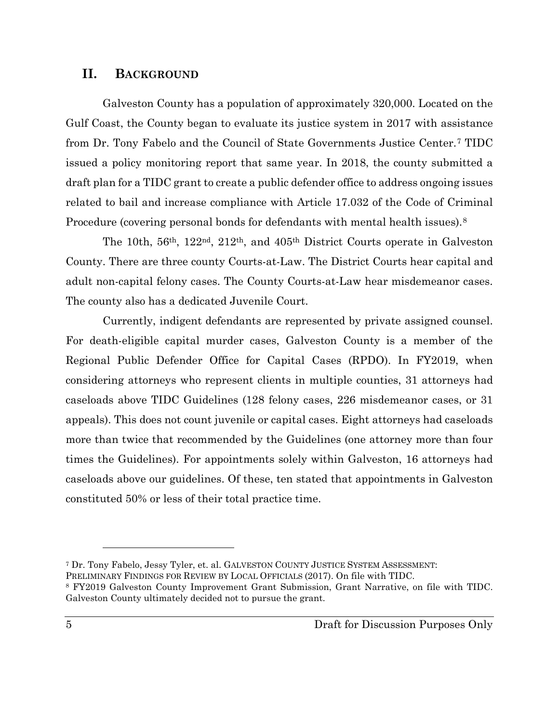### <span id="page-4-0"></span>**II. BACKGROUND**

Galveston County has a population of approximately 320,000. Located on the Gulf Coast, the County began to evaluate its justice system in 2017 with assistance from Dr. Tony Fabelo and the Council of State Governments Justice Center.[7](#page-4-1) TIDC issued a policy monitoring report that same year. In 2018, the county submitted a draft plan for a TIDC grant to create a public defender office to address ongoing issues related to bail and increase compliance with Article 17.032 of the Code of Criminal Procedure (covering personal bonds for defendants with mental health issues).<sup>[8](#page-4-2)</sup>

The 10th, 56th, 122nd, 212th, and 405th District Courts operate in Galveston County. There are three county Courts-at-Law. The District Courts hear capital and adult non-capital felony cases. The County Courts-at-Law hear misdemeanor cases. The county also has a dedicated Juvenile Court.

Currently, indigent defendants are represented by private assigned counsel. For death-eligible capital murder cases, Galveston County is a member of the Regional Public Defender Office for Capital Cases (RPDO). In FY2019, when considering attorneys who represent clients in multiple counties, 31 attorneys had caseloads above TIDC Guidelines (128 felony cases, 226 misdemeanor cases, or 31 appeals). This does not count juvenile or capital cases. Eight attorneys had caseloads more than twice that recommended by the Guidelines (one attorney more than four times the Guidelines). For appointments solely within Galveston, 16 attorneys had caseloads above our guidelines. Of these, ten stated that appointments in Galveston constituted 50% or less of their total practice time.

<span id="page-4-1"></span><sup>7</sup> Dr. Tony Fabelo, Jessy Tyler, et. al. GALVESTON COUNTY JUSTICE SYSTEM ASSESSMENT:

<span id="page-4-2"></span>PRELIMINARY FINDINGS FOR REVIEW BY LOCAL OFFICIALS (2017). On file with TIDC.

<sup>8</sup> FY2019 Galveston County Improvement Grant Submission, Grant Narrative, on file with TIDC. Galveston County ultimately decided not to pursue the grant.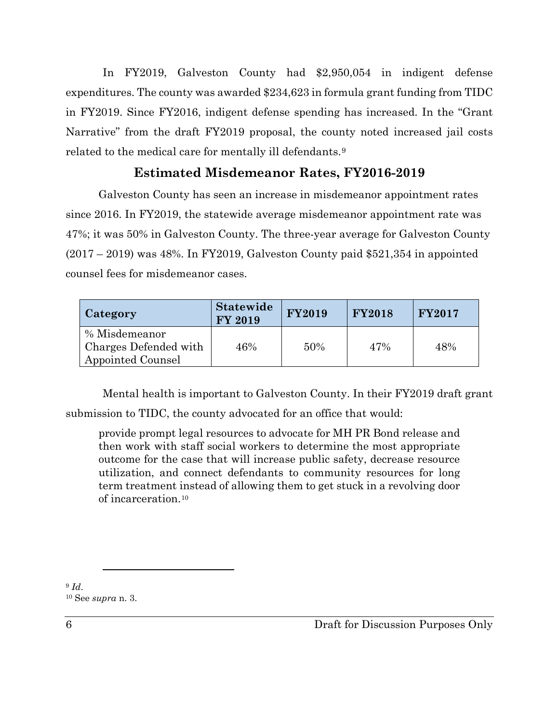In FY2019, Galveston County had \$2,950,054 in indigent defense expenditures. The county was awarded \$234,623 in formula grant funding from TIDC in FY2019. Since FY2016, indigent defense spending has increased. In the "Grant Narrative" from the draft FY2019 proposal, the county noted increased jail costs related to the medical care for mentally ill defendants.[9](#page-5-0)

### **Estimated Misdemeanor Rates, FY2016-2019**

Galveston County has seen an increase in misdemeanor appointment rates since 2016. In FY2019, the statewide average misdemeanor appointment rate was 47%; it was 50% in Galveston County. The three-year average for Galveston County  $(2017 - 2019)$  was 48%. In FY2019, Galveston County paid \$521,354 in appointed counsel fees for misdemeanor cases.

| Category                               | <b>Statewide</b><br><b>FY 2019</b> | <b>FY2019</b> | <b>FY2018</b> | <b>FY2017</b> |
|----------------------------------------|------------------------------------|---------------|---------------|---------------|
| % Misdemeanor<br>Charges Defended with | 46%                                | 50%           | 47%           | 48%           |
| Appointed Counsel                      |                                    |               |               |               |

Mental health is important to Galveston County. In their FY2019 draft grant submission to TIDC, the county advocated for an office that would:

provide prompt legal resources to advocate for MH PR Bond release and then work with staff social workers to determine the most appropriate outcome for the case that will increase public safety, decrease resource utilization, and connect defendants to community resources for long term treatment instead of allowing them to get stuck in a revolving door of incarceration.[10](#page-5-1)

<span id="page-5-1"></span><span id="page-5-0"></span><sup>9</sup> *Id*. 10 See *supra* n. 3.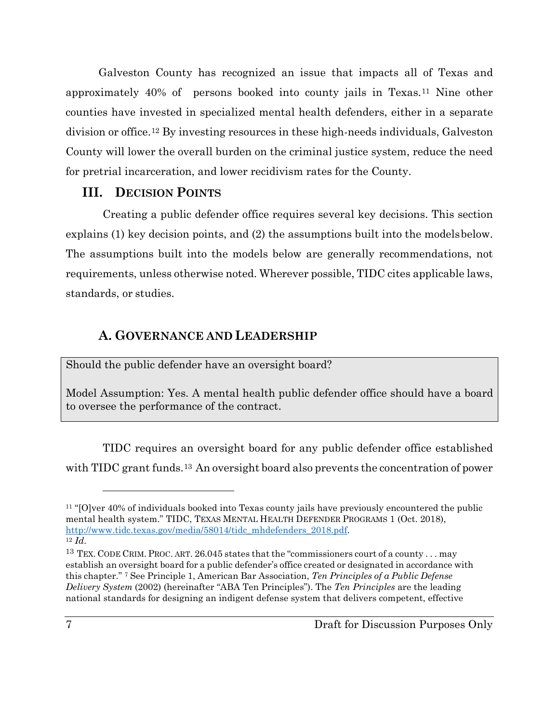Galveston County has recognized an issue that impacts all of Texas and approximately 40% of persons booked into county jails in Texas.[11](#page-6-2) Nine other counties have invested in specialized mental health defenders, either in a separate division or office.[12](#page-6-3) By investing resources in these high-needs individuals, Galveston County will lower the overall burden on the criminal justice system, reduce the need for pretrial incarceration, and lower recidivism rates for the County.

### <span id="page-6-0"></span>**III. DECISION POINTS**

Creating a public defender office requires several key decisions. This section explains (1) key decision points, and (2) the assumptions built into the modelsbelow. The assumptions built into the models below are generally recommendations, not requirements, unless otherwise noted. Wherever possible, TIDC cites applicable laws, standards, or studies.

### **A. GOVERNANCE AND LEADERSHIP**

<span id="page-6-1"></span>Should the public defender have an oversight board?

Model Assumption: Yes. A mental health public defender office should have a board to oversee the performance of the contract.

TIDC requires an oversight board for any public defender office established with TIDC grant funds.<sup>[13](#page-6-4)</sup> An oversight board also prevents the concentration of power

<span id="page-6-2"></span><sup>&</sup>lt;sup>11</sup> "[O]ver 40% of individuals booked into Texas county jails have previously encountered the public mental health system." TIDC, TEXAS MENTAL HEALTH DEFENDER PROGRAMS 1 (Oct. 2018), [http://www.tidc.texas.gov/media/58014/tidc\\_mhdefenders\\_2018.pdf.](http://www.tidc.texas.gov/media/58014/tidc_mhdefenders_2018.pdf) <sup>12</sup> *Id.*

<span id="page-6-4"></span><span id="page-6-3"></span><sup>&</sup>lt;sup>13</sup> TEX. CODE CRIM. PROC. ART. 26.045 states that the "commissioners court of a county . . . may establish an oversight board for a public defender's office created or designated in accordance with this chapter." 7 See Principle 1, American Bar Association, *Ten Principles of a Public Defense Delivery System* (2002) (hereinafter "ABA Ten Principles"). The *Ten Principles* are the leading national standards for designing an indigent defense system that delivers competent, effective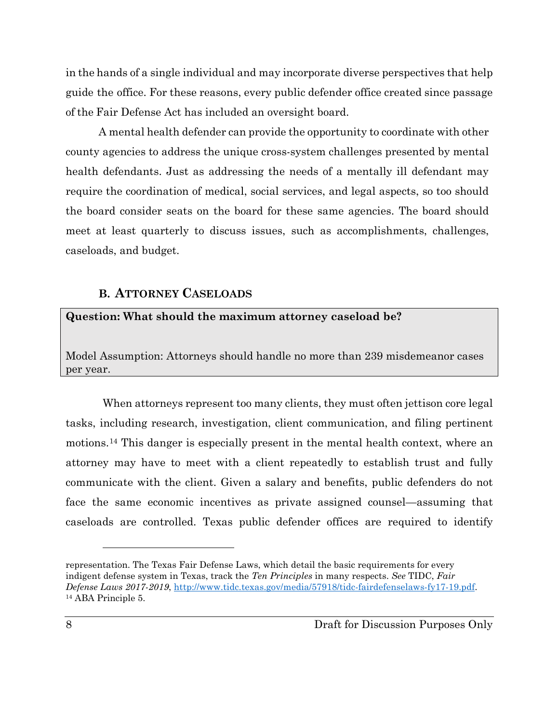in the hands of a single individual and may incorporate diverse perspectives that help guide the office. For these reasons, every public defender office created since passage of the Fair Defense Act has included an oversight board.

A mental health defender can provide the opportunity to coordinate with other county agencies to address the unique cross-system challenges presented by mental health defendants. Just as addressing the needs of a mentally ill defendant may require the coordination of medical, social services, and legal aspects, so too should the board consider seats on the board for these same agencies. The board should meet at least quarterly to discuss issues, such as accomplishments, challenges, caseloads, and budget.

#### **B. ATTORNEY CASELOADS**

<span id="page-7-0"></span>**Question: What should the maximum attorney caseload be?**

Model Assumption: Attorneys should handle no more than 239 misdemeanor cases per year.

When attorneys represent too many clients, they must often jettison core legal tasks, including research, investigation, client communication, and filing pertinent motions.[14](#page-7-1) This danger is especially present in the mental health context, where an attorney may have to meet with a client repeatedly to establish trust and fully communicate with the client. Given a salary and benefits, public defenders do not face the same economic incentives as private assigned counsel—assuming that caseloads are controlled. Texas public defender offices are required to identify

<span id="page-7-1"></span>representation. The Texas Fair Defense Laws, which detail the basic requirements for every indigent defense system in Texas, track the *Ten Principles* in many respects. *See* TIDC, *Fair Defense Laws 2017-2019*, [http://www.tidc.texas.gov/media/57918/tidc-fairdefenselaws-fy17-19.pdf.](http://www.tidc.texas.gov/media/57918/tidc-fairdefenselaws-fy17-19.pdf) <sup>14</sup> ABA Principle 5.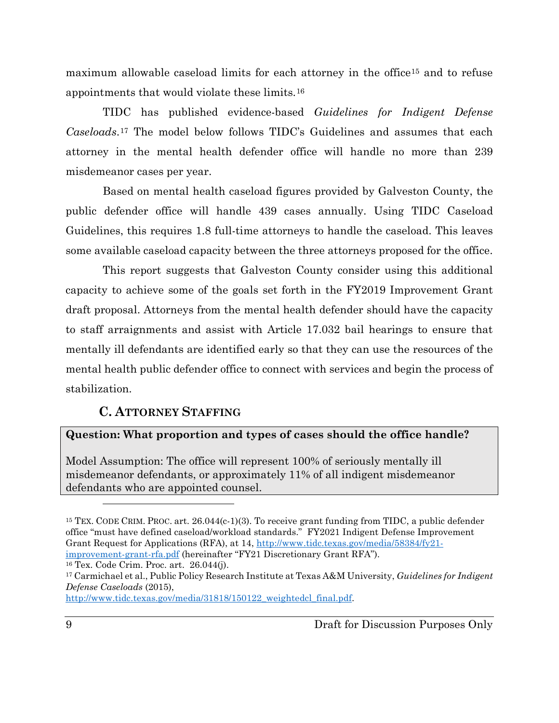maximum allowable caseload limits for each attorney in the office<sup>[15](#page-8-1)</sup> and to refuse appointments that would violate these limits.[16](#page-8-2)

TIDC has published evidence-based *Guidelines for Indigent Defense Caseloads*.[17](#page-8-3) The model below follows TIDC's Guidelines and assumes that each attorney in the mental health defender office will handle no more than 239 misdemeanor cases per year.

Based on mental health caseload figures provided by Galveston County, the public defender office will handle 439 cases annually. Using TIDC Caseload Guidelines, this requires 1.8 full-time attorneys to handle the caseload. This leaves some available caseload capacity between the three attorneys proposed for the office.

This report suggests that Galveston County consider using this additional capacity to achieve some of the goals set forth in the FY2019 Improvement Grant draft proposal. Attorneys from the mental health defender should have the capacity to staff arraignments and assist with Article 17.032 bail hearings to ensure that mentally ill defendants are identified early so that they can use the resources of the mental health public defender office to connect with services and begin the process of stabilization.

### **C. ATTORNEY STAFFING**

#### <span id="page-8-0"></span>**Question: What proportion and types of cases should the office handle?**

Model Assumption: The office will represent 100% of seriously mentally ill misdemeanor defendants, or approximately 11% of all indigent misdemeanor defendants who are appointed counsel.

<span id="page-8-2"></span><sup>16</sup> Tex. Code Crim. Proc. art. 26.044(j).

<span id="page-8-1"></span><sup>15</sup> TEX. CODE CRIM. PROC. art. 26.044(c-1)(3). To receive grant funding from TIDC, a public defender office "must have defined caseload/workload standards." FY2021 Indigent Defense Improvement Grant Request for Applications (RFA), at 14, [http://www.tidc.texas.gov/media/58384/fy21](http://www.tidc.texas.gov/media/58384/fy21-improvement-grant-rfa.pdf) [improvement-grant-rfa.pdf](http://www.tidc.texas.gov/media/58384/fy21-improvement-grant-rfa.pdf) (hereinafter "FY21 Discretionary Grant RFA").

<span id="page-8-3"></span><sup>17</sup> Carmichael et al., Public Policy Research Institute at Texas A&M University, *Guidelines for Indigent Defense Caseloads* (2015),

[http://www.tidc.texas.gov/media/31818/150122\\_weightedcl\\_final.pdf.](http://www.tidc.texas.gov/media/31818/150122_weightedcl_final.pdf)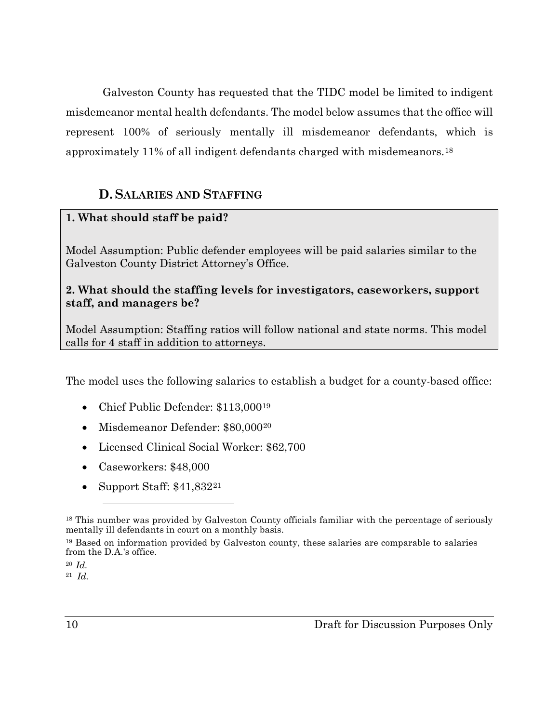Galveston County has requested that the TIDC model be limited to indigent misdemeanor mental health defendants. The model below assumes that the office will represent 100% of seriously mentally ill misdemeanor defendants, which is approximately 11% of all indigent defendants charged with misdemeanors.[18](#page-9-1)

### **D.SALARIES AND STAFFING**

### <span id="page-9-0"></span>**1. What should staff be paid?**

Model Assumption: Public defender employees will be paid salaries similar to the Galveston County District Attorney's Office.

### **2. What should the staffing levels for investigators, caseworkers, support staff, and managers be?**

Model Assumption: Staffing ratios will follow national and state norms. This model calls for **4** staff in addition to attorneys.

The model uses the following salaries to establish a budget for a county-based office:

- Chief Public Defender: \$113,000<sup>[19](#page-9-2)</sup>
- Misdemeanor Defender: \$80,000[20](#page-9-3)
- Licensed Clinical Social Worker: \$62,700
- Caseworkers: \$48,000
- Support Staff: \$41,832<sup>[21](#page-9-4)</sup>

<span id="page-9-1"></span><sup>18</sup> This number was provided by Galveston County officials familiar with the percentage of seriously mentally ill defendants in court on a monthly basis.

<span id="page-9-2"></span><sup>19</sup> Based on information provided by Galveston county, these salaries are comparable to salaries from the D.A.'s office.

<span id="page-9-3"></span><sup>20</sup> *Id.* 

<span id="page-9-4"></span><sup>21</sup> *Id.*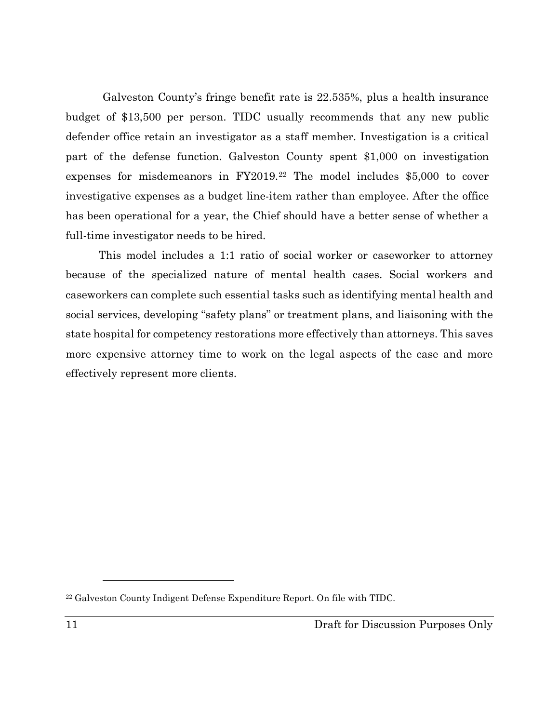Galveston County's fringe benefit rate is 22.535%, plus a health insurance budget of \$13,500 per person. TIDC usually recommends that any new public defender office retain an investigator as a staff member. Investigation is a critical part of the defense function. Galveston County spent \$1,000 on investigation expenses for misdemeanors in FY2019.[22](#page-10-0) The model includes \$5,000 to cover investigative expenses as a budget line-item rather than employee. After the office has been operational for a year, the Chief should have a better sense of whether a full-time investigator needs to be hired.

This model includes a 1:1 ratio of social worker or caseworker to attorney because of the specialized nature of mental health cases. Social workers and caseworkers can complete such essential tasks such as identifying mental health and social services, developing "safety plans" or treatment plans, and liaisoning with the state hospital for competency restorations more effectively than attorneys. This saves more expensive attorney time to work on the legal aspects of the case and more effectively represent more clients.

<span id="page-10-0"></span><sup>22</sup> Galveston County Indigent Defense Expenditure Report. On file with TIDC.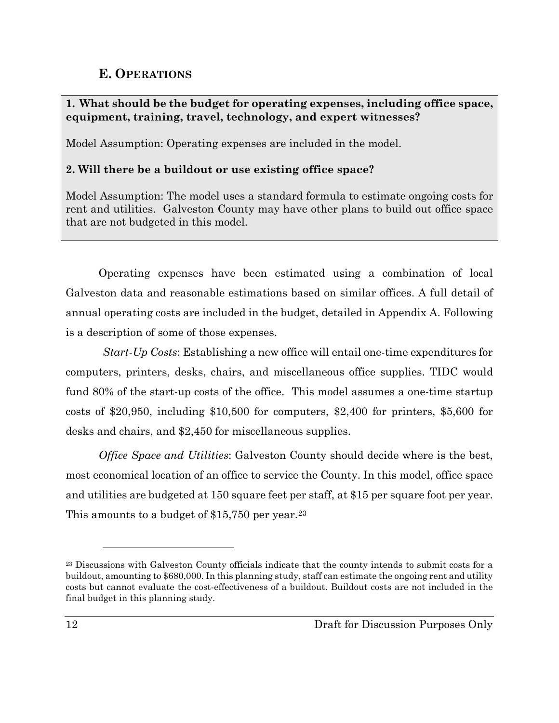### **E. OPERATIONS**

### <span id="page-11-0"></span>**1. What should be the budget for operating expenses, including office space, equipment, training, travel, technology, and expert witnesses?**

Model Assumption: Operating expenses are included in the model.

### **2. Will there be a buildout or use existing office space?**

Model Assumption: The model uses a standard formula to estimate ongoing costs for rent and utilities. Galveston County may have other plans to build out office space that are not budgeted in this model.

Operating expenses have been estimated using a combination of local Galveston data and reasonable estimations based on similar offices. A full detail of annual operating costs are included in the budget, detailed in Appendix A. Following is a description of some of those expenses.

*Start-Up Costs*: Establishing a new office will entail one-time expenditures for computers, printers, desks, chairs, and miscellaneous office supplies. TIDC would fund 80% of the start-up costs of the office. This model assumes a one-time startup costs of \$20,950, including \$10,500 for computers, \$2,400 for printers, \$5,600 for desks and chairs, and \$2,450 for miscellaneous supplies.

*Office Space and Utilities*: Galveston County should decide where is the best, most economical location of an office to service the County. In this model, office space and utilities are budgeted at 150 square feet per staff, at \$15 per square foot per year. This amounts to a budget of  $$15,750$  per year.<sup>[23](#page-11-1)</sup>

<span id="page-11-1"></span><sup>23</sup> Discussions with Galveston County officials indicate that the county intends to submit costs for a buildout, amounting to \$680,000. In this planning study, staff can estimate the ongoing rent and utility costs but cannot evaluate the cost-effectiveness of a buildout. Buildout costs are not included in the final budget in this planning study.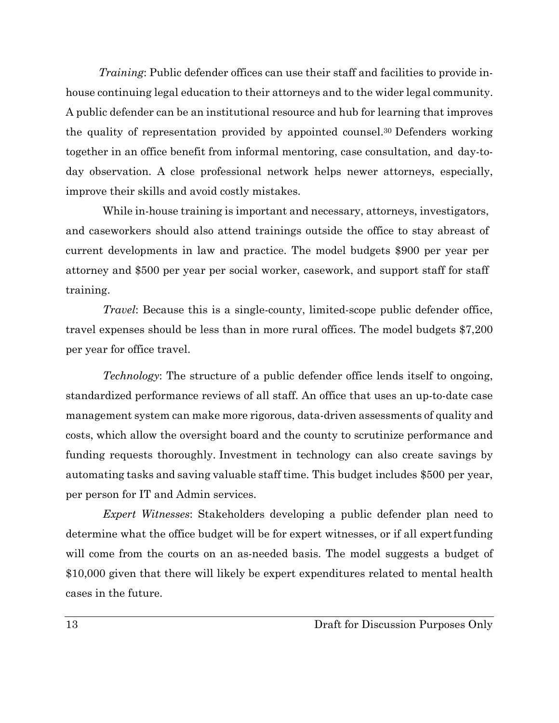*Training*: Public defender offices can use their staff and facilities to provide inhouse continuing legal education to their attorneys and to the wider legal community. A public defender can be an institutional resource and hub for learning that improves the quality of representation provided by appointed counsel.30 Defenders working together in an office benefit from informal mentoring, case consultation, and day-today observation. A close professional network helps newer attorneys, especially, improve their skills and avoid costly mistakes.

While in-house training is important and necessary, attorneys, investigators, and caseworkers should also attend trainings outside the office to stay abreast of current developments in law and practice. The model budgets \$900 per year per attorney and \$500 per year per social worker, casework, and support staff for staff training.

*Travel*: Because this is a single-county, limited-scope public defender office, travel expenses should be less than in more rural offices. The model budgets \$7,200 per year for office travel.

*Technology*: The structure of a public defender office lends itself to ongoing, standardized performance reviews of all staff. An office that uses an up-to-date case management system can make more rigorous, data-driven assessments of quality and costs, which allow the oversight board and the county to scrutinize performance and funding requests thoroughly. Investment in technology can also create savings by automating tasks and saving valuable staff time. This budget includes \$500 per year, per person for IT and Admin services.

*Expert Witnesses*: Stakeholders developing a public defender plan need to determine what the office budget will be for expert witnesses, or if all expertfunding will come from the courts on an as-needed basis. The model suggests a budget of \$10,000 given that there will likely be expert expenditures related to mental health cases in the future.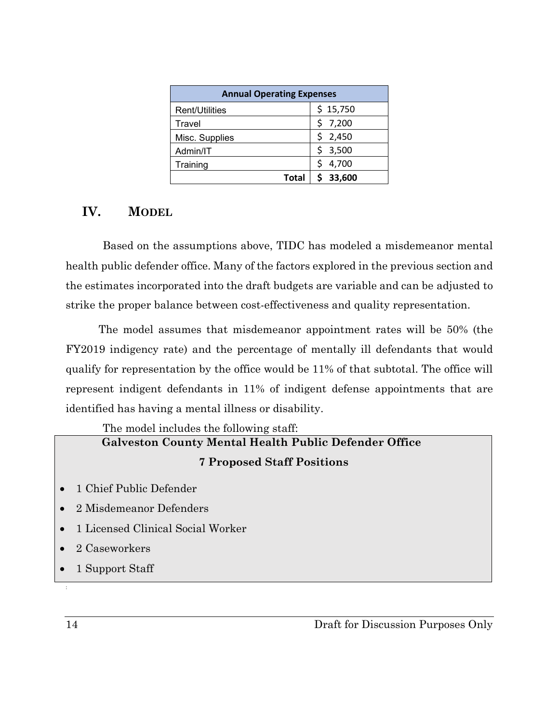| <b>Annual Operating Expenses</b> |            |  |  |  |
|----------------------------------|------------|--|--|--|
| Rent/Utilities                   | \$15,750   |  |  |  |
| Travel                           | 7,200      |  |  |  |
| Misc. Supplies                   | \$2,450    |  |  |  |
| Admin/IT                         | 3,500<br>Ś |  |  |  |
| Training                         | 4,700      |  |  |  |
| Total                            | 33,600     |  |  |  |

### <span id="page-13-0"></span>**IV. MODEL**

Based on the assumptions above, TIDC has modeled a misdemeanor mental health public defender office. Many of the factors explored in the previous section and the estimates incorporated into the draft budgets are variable and can be adjusted to strike the proper balance between cost-effectiveness and quality representation.

The model assumes that misdemeanor appointment rates will be 50% (the FY2019 indigency rate) and the percentage of mentally ill defendants that would qualify for representation by the office would be 11% of that subtotal. The office will represent indigent defendants in 11% of indigent defense appointments that are identified has having a mental illness or disability.

# The model includes the following staff: **Galveston County Mental Health Public Defender Office 7 Proposed Staff Positions**

- 1 Chief Public Defender
- 2 Misdemeanor Defenders
- 1 Licensed Clinical Social Worker
- 2 Caseworkers
- 1 Support Staff
- 14 Draft for Discussion Purposes Only

: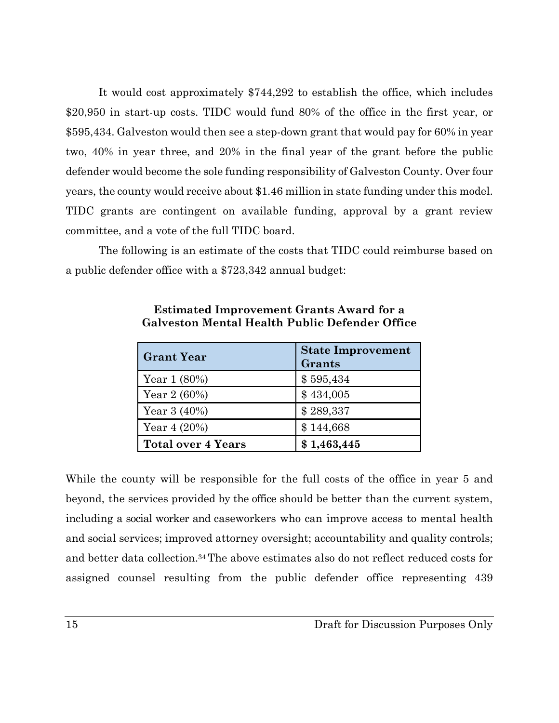It would cost approximately \$744,292 to establish the office, which includes \$20,950 in start-up costs. TIDC would fund 80% of the office in the first year, or \$595,434. Galveston would then see a step-down grant that would pay for 60% in year two, 40% in year three, and 20% in the final year of the grant before the public defender would become the sole funding responsibility of Galveston County. Over four years, the county would receive about \$1.46 million in state funding under this model. TIDC grants are contingent on available funding, approval by a grant review committee, and a vote of the full TIDC board.

The following is an estimate of the costs that TIDC could reimburse based on a public defender office with a \$723,342 annual budget:

| <b>Grant Year</b>         | <b>State Improvement</b><br>Grants |
|---------------------------|------------------------------------|
| Year $1(80\%)$            | \$595,434                          |
| Year $2(60%)$             | \$434,005                          |
| Year $3(40\%)$            | \$289,337                          |
| Year $4(20%)$             | \$144,668                          |
| <b>Total over 4 Years</b> | \$1,463,445                        |

**Estimated Improvement Grants Award for a Galveston Mental Health Public Defender Office**

While the county will be responsible for the full costs of the office in year 5 and beyond, the services provided by the office should be better than the current system, including a social worker and caseworkers who can improve access to mental health and social services; improved attorney oversight; accountability and quality controls; and better data collection.34 The above estimates also do not reflect reduced costs for assigned counsel resulting from the public defender office representing 439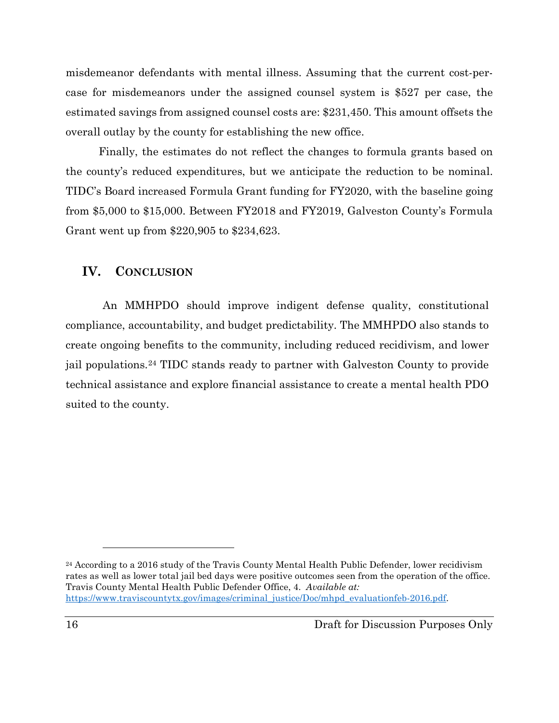misdemeanor defendants with mental illness. Assuming that the current cost-percase for misdemeanors under the assigned counsel system is \$527 per case, the estimated savings from assigned counsel costs are: \$231,450. This amount offsets the overall outlay by the county for establishing the new office.

Finally, the estimates do not reflect the changes to formula grants based on the county's reduced expenditures, but we anticipate the reduction to be nominal. TIDC's Board increased Formula Grant funding for FY2020, with the baseline going from \$5,000 to \$15,000. Between FY2018 and FY2019, Galveston County's Formula Grant went up from \$220,905 to \$234,623.

#### <span id="page-15-0"></span>**IV. CONCLUSION**

An MMHPDO should improve indigent defense quality, constitutional compliance, accountability, and budget predictability. The MMHPDO also stands to create ongoing benefits to the community, including reduced recidivism, and lower jail populations.[24](#page-15-1) TIDC stands ready to partner with Galveston County to provide technical assistance and explore financial assistance to create a mental health PDO suited to the county.

<span id="page-15-1"></span><sup>&</sup>lt;sup>24</sup> According to a 2016 study of the Travis County Mental Health Public Defender, lower recidivism rates as well as lower total jail bed days were positive outcomes seen from the operation of the office. Travis County Mental Health Public Defender Office, 4. *Available at:*  [https://www.traviscountytx.gov/images/criminal\\_justice/Doc/mhpd\\_evaluationfeb-2016.pdf.](https://www.traviscountytx.gov/images/criminal_justice/Doc/mhpd_evaluationfeb-2016.pdf)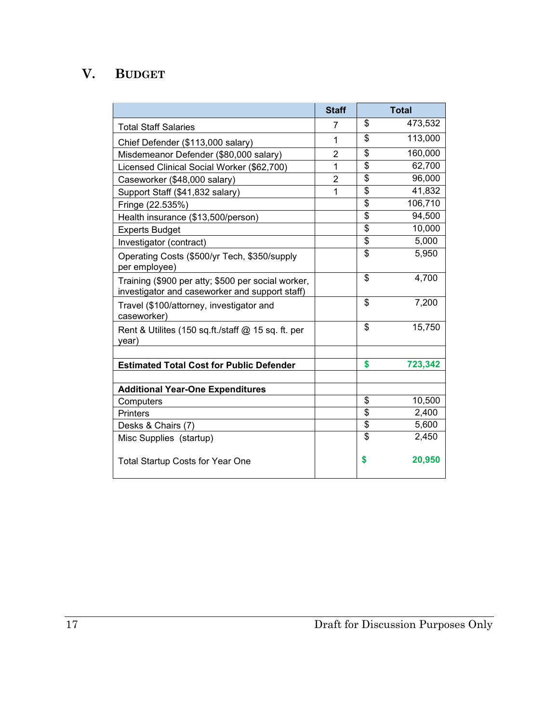# **V. BUDGET**

<span id="page-16-0"></span>

|                                                                                                      | <b>Staff</b> |                         | <b>Total</b> |
|------------------------------------------------------------------------------------------------------|--------------|-------------------------|--------------|
| <b>Total Staff Salaries</b>                                                                          | 7            | \$                      | 473,532      |
| Chief Defender (\$113,000 salary)                                                                    | $\mathbf{1}$ | \$                      | 113,000      |
| Misdemeanor Defender (\$80,000 salary)                                                               | 2            | \$                      | 160,000      |
| Licensed Clinical Social Worker (\$62,700)                                                           | $\mathbf{1}$ | \$                      | 62,700       |
| Caseworker (\$48,000 salary)                                                                         | 2            | \$                      | 96,000       |
| Support Staff (\$41,832 salary)                                                                      | 1            | \$                      | 41,832       |
| Fringe (22.535%)                                                                                     |              | \$                      | 106,710      |
| Health insurance (\$13,500/person)                                                                   |              | \$                      | 94,500       |
| <b>Experts Budget</b>                                                                                |              | \$                      | 10,000       |
| Investigator (contract)                                                                              |              | \$                      | 5,000        |
| Operating Costs (\$500/yr Tech, \$350/supply<br>per employee)                                        |              | $\overline{\$}$         | 5,950        |
| Training (\$900 per atty; \$500 per social worker,<br>investigator and caseworker and support staff) |              | \$                      | 4,700        |
| Travel (\$100/attorney, investigator and<br>caseworker)                                              |              | \$                      | 7,200        |
| Rent & Utilites (150 sq.ft./staff $@$ 15 sq. ft. per<br>year)                                        |              | \$                      | 15,750       |
|                                                                                                      |              |                         |              |
| <b>Estimated Total Cost for Public Defender</b>                                                      |              | \$                      | 723,342      |
| <b>Additional Year-One Expenditures</b>                                                              |              |                         |              |
| Computers                                                                                            |              | \$                      | 10,500       |
| <b>Printers</b>                                                                                      |              | \$                      | 2,400        |
| Desks & Chairs (7)                                                                                   |              | $\overline{\mathbf{S}}$ | 5,600        |
| Misc Supplies (startup)                                                                              |              | $\overline{\mathbf{s}}$ | 2,450        |
| <b>Total Startup Costs for Year One</b>                                                              |              | \$                      | 20,950       |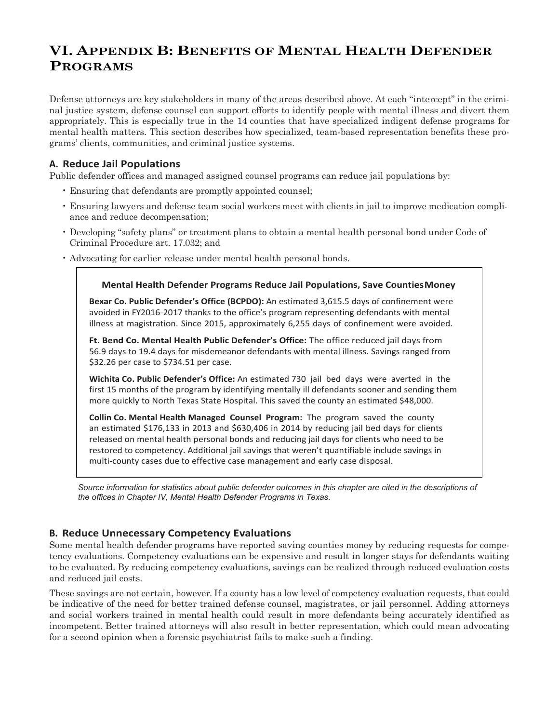### **VI. APPENDIX B: BENEFITS OF MENTAL HEALTH DEFENDER PROGRAMS**

Defense attorneys are key stakeholders in many of the areas described above. At each "intercept" in the criminal justice system, defense counsel can support efforts to identify people with mental illness and divert them appropriately. This is especially true in the 14 counties that have specialized indigent defense programs for mental health matters. This section describes how specialized, team-based representation benefits these programs' clients, communities, and criminal justice systems.

#### **A. Reduce Jail Populations**

Public defender offices and managed assigned counsel programs can reduce jail populations by:

- Ensuring that defendants are promptly appointed counsel;
- Ensuring lawyers and defense team social workers meet with clients in jail to improve medication compliance and reduce decompensation;
- Developing "safety plans" or treatment plans to obtain a mental health personal bond under Code of Criminal Procedure art. 17.032; and
- Advocating for earlier release under mental health personal bonds.

#### **Mental Health Defender Programs Reduce Jail Populations, Save CountiesMoney**

**Bexar Co. Public Defender's Office (BCPDO):** An estimated 3,615.5 days of confinement were avoided in FY2016-2017 thanks to the office's program representing defendants with mental illness at magistration. Since 2015, approximately 6,255 days of confinement were avoided.

**Ft. Bend Co. Mental Health Public Defender's Office:** The office reduced jail days from 56.9 days to 19.4 days for misdemeanor defendants with mental illness. Savings ranged from \$32.26 per case to \$734.51 per case.

**Wichita Co. Public Defender's Office:** An estimated 730 jail bed days were averted in the first 15 months of the program by identifying mentally ill defendants sooner and sending them more quickly to North Texas State Hospital. This saved the county an estimated \$48,000.

**Collin Co. Mental Health Managed Counsel Program:** The program saved the county an estimated \$176,133 in 2013 and \$630,406 in 2014 by reducing jail bed days for clients released on mental health personal bonds and reducing jail days for clients who need to be restored to competency. Additional jail savings that weren't quantifiable include savings in multi-county cases due to effective case management and early case disposal.

Source information for statistics about public defender outcomes in this chapter are cited in the descriptions of *the offices in Chapter IV, Mental Health Defender Programs in Texas.*

#### **B. Reduce Unnecessary Competency Evaluations**

Some mental health defender programs have reported saving counties money by reducing requests for competency evaluations. Competency evaluations can be expensive and result in longer stays for defendants waiting to be evaluated. By reducing competency evaluations, savings can be realized through reduced evaluation costs and reduced jail costs.

These savings are not certain, however. If a county has a low level of competency evaluation requests, that could be indicative of the need for better trained defense counsel, magistrates, or jail personnel. Adding attorneys and social workers trained in mental health could result in more defendants being accurately identified as incompetent. Better trained attorneys will also result in better representation, which could mean advocating for a second opinion when a forensic psychiatrist fails to make such a finding.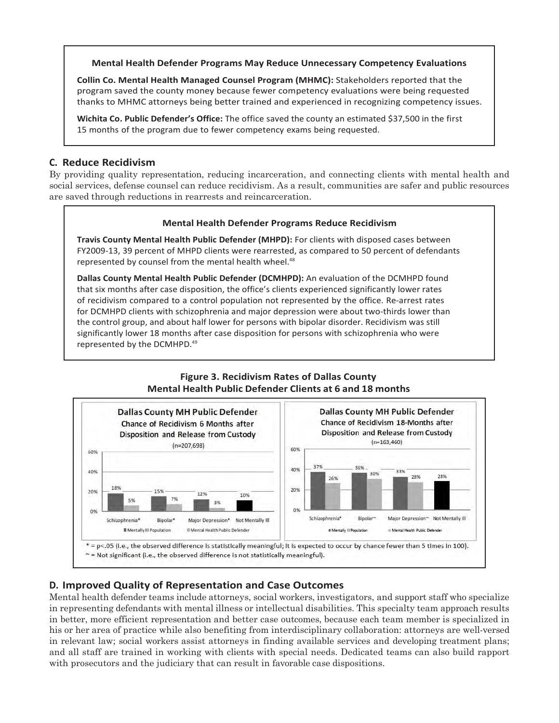#### **Mental Health Defender Programs May Reduce Unnecessary Competency Evaluations**

**Collin Co. Mental Health Managed Counsel Program (MHMC):** Stakeholders reported that the program saved the county money because fewer competency evaluations were being requested thanks to MHMC attorneys being better trained and experienced in recognizing competency issues.

**Wichita Co. Public Defender's Office:** The office saved the county an estimated \$37,500 in the first 15 months of the program due to fewer competency exams being requested.

#### **C. Reduce Recidivism**

By providing quality representation, reducing incarceration, and connecting clients with mental health and social services, defense counsel can reduce recidivism. As a result, communities are safer and public resources are saved through reductions in rearrests and reincarceration.

#### **Mental Health Defender Programs Reduce Recidivism**

**Travis County Mental Health Public Defender (MHPD):** For clients with disposed cases between FY2009-13, 39 percent of MHPD clients were rearrested, as compared to 50 percent of defendants represented by counsel from the mental health wheel.<sup>48</sup>

**Dallas County Mental Health Public Defender (DCMHPD):** An evaluation of the DCMHPD found that six months after case disposition, the office's clients experienced significantly lower rates of recidivism compared to a control population not represented by the office. Re-arrest rates for DCMHPD clients with schizophrenia and major depression were about two-thirds lower than the control group, and about half lower for persons with bipolar disorder. Recidivism was still significantly lower 18 months after case disposition for persons with schizophrenia who were represented by the DCMHPD.49

#### **Figure 3. Recidivism Rates of Dallas County Mental Health Public Defender Clients at 6 and 18 months**



#### **D. Improved Quality of Representation and Case Outcomes**

Mental health defender teams include attorneys, social workers, investigators, and support staff who specialize in representing defendants with mental illness or intellectual disabilities. This specialty team approach results in better, more efficient representation and better case outcomes, because each team member is specialized in his or her area of practice while also benefiting from interdisciplinary collaboration: attorneys are well-versed in relevant law; social workers assist attorneys in finding available services and developing treatment plans; and all staff are trained in working with clients with special needs. Dedicated teams can also build rapport with prosecutors and the judiciary that can result in favorable case dispositions.